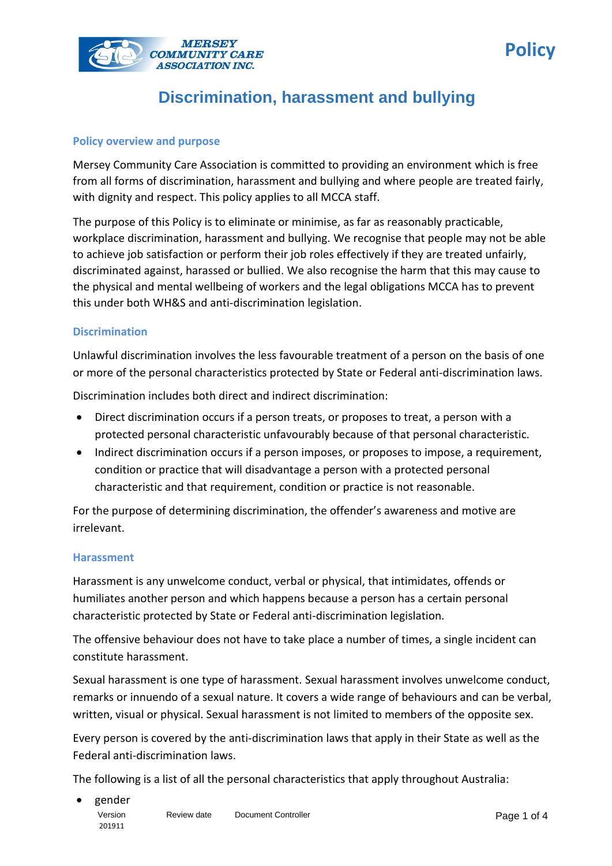

#### **Policy overview and purpose**

Mersey Community Care Association is committed to providing an environment which is free from all forms of discrimination, harassment and bullying and where people are treated fairly, with dignity and respect. This policy applies to all MCCA staff.

The purpose of this Policy is to eliminate or minimise, as far as reasonably practicable, workplace discrimination, harassment and bullying. We recognise that people may not be able to achieve job satisfaction or perform their job roles effectively if they are treated unfairly, discriminated against, harassed or bullied. We also recognise the harm that this may cause to the physical and mental wellbeing of workers and the legal obligations MCCA has to prevent this under both WH&S and anti-discrimination legislation.

#### **Discrimination**

Unlawful discrimination involves the less favourable treatment of a person on the basis of one or more of the personal characteristics protected by State or Federal anti-discrimination laws.

Discrimination includes both direct and indirect discrimination:

- Direct discrimination occurs if a person treats, or proposes to treat, a person with a protected personal characteristic unfavourably because of that personal characteristic.
- Indirect discrimination occurs if a person imposes, or proposes to impose, a requirement, condition or practice that will disadvantage a person with a protected personal characteristic and that requirement, condition or practice is not reasonable.

For the purpose of determining discrimination, the offender's awareness and motive are irrelevant.

#### **Harassment**

Harassment is any unwelcome conduct, verbal or physical, that intimidates, offends or humiliates another person and which happens because a person has a certain personal characteristic protected by State or Federal anti-discrimination legislation.

The offensive behaviour does not have to take place a number of times, a single incident can constitute harassment.

Sexual harassment is one type of harassment. Sexual harassment involves unwelcome conduct, remarks or innuendo of a sexual nature. It covers a wide range of behaviours and can be verbal, written, visual or physical. Sexual harassment is not limited to members of the opposite sex.

Every person is covered by the anti-discrimination laws that apply in their State as well as the Federal anti-discrimination laws.

The following is a list of all the personal characteristics that apply throughout Australia:

**Policy**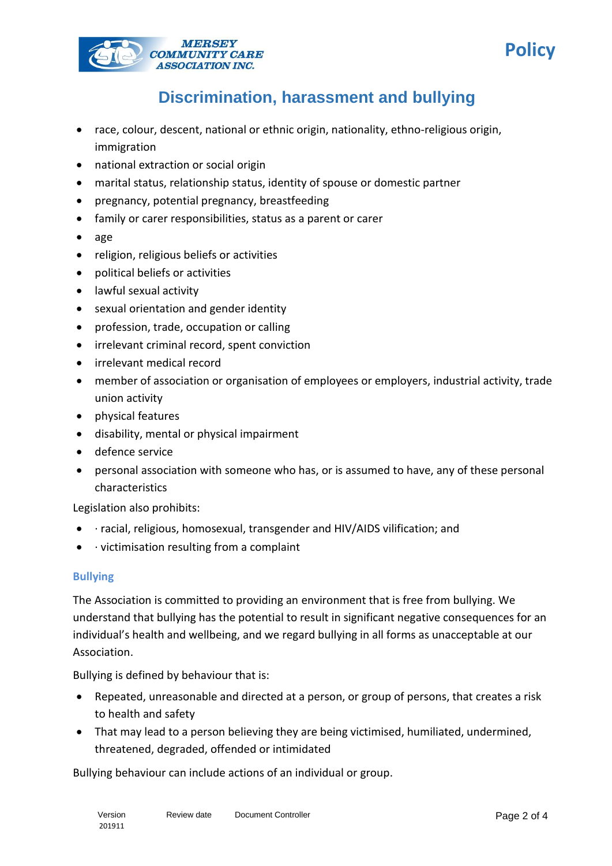



- race, colour, descent, national or ethnic origin, nationality, ethno-religious origin, immigration
- national extraction or social origin
- marital status, relationship status, identity of spouse or domestic partner
- pregnancy, potential pregnancy, breastfeeding
- family or carer responsibilities, status as a parent or carer
- age
- religion, religious beliefs or activities
- political beliefs or activities
- lawful sexual activity
- sexual orientation and gender identity
- profession, trade, occupation or calling
- irrelevant criminal record, spent conviction
- irrelevant medical record
- member of association or organisation of employees or employers, industrial activity, trade union activity
- physical features
- disability, mental or physical impairment
- defence service
- personal association with someone who has, or is assumed to have, any of these personal characteristics

Legislation also prohibits:

- · racial, religious, homosexual, transgender and HIV/AIDS vilification; and
- $\bullet$  · victimisation resulting from a complaint

#### **Bullying**

The Association is committed to providing an environment that is free from bullying. We understand that bullying has the potential to result in significant negative consequences for an individual's health and wellbeing, and we regard bullying in all forms as unacceptable at our Association.

Bullying is defined by behaviour that is:

- Repeated, unreasonable and directed at a person, or group of persons, that creates a risk to health and safety
- That may lead to a person believing they are being victimised, humiliated, undermined, threatened, degraded, offended or intimidated

Bullying behaviour can include actions of an individual or group.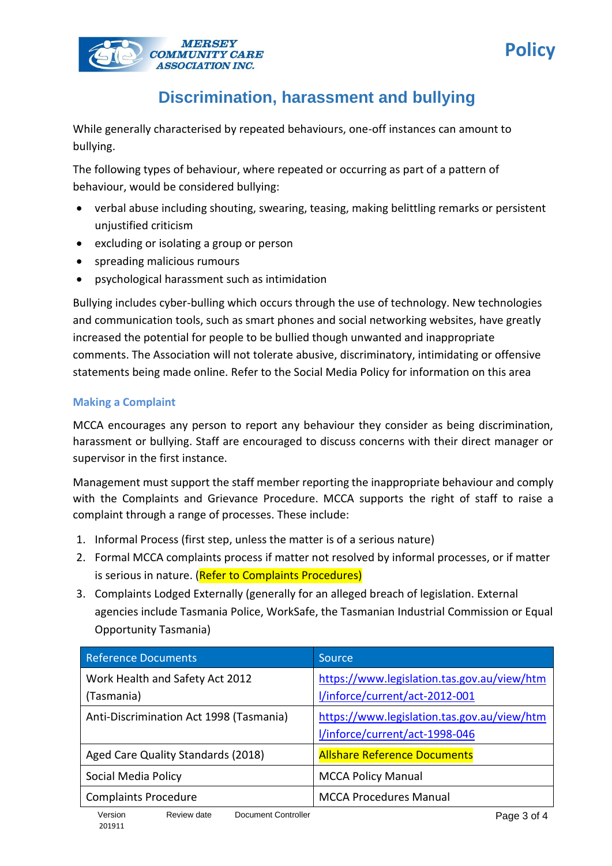



While generally characterised by repeated behaviours, one-off instances can amount to bullying.

The following types of behaviour, where repeated or occurring as part of a pattern of behaviour, would be considered bullying:

- verbal abuse including shouting, swearing, teasing, making belittling remarks or persistent unjustified criticism
- excluding or isolating a group or person
- spreading malicious rumours
- psychological harassment such as intimidation

Bullying includes cyber-bulling which occurs through the use of technology. New technologies and communication tools, such as smart phones and social networking websites, have greatly increased the potential for people to be bullied though unwanted and inappropriate comments. The Association will not tolerate abusive, discriminatory, intimidating or offensive statements being made online. Refer to the Social Media Policy for information on this area

### **Making a Complaint**

MCCA encourages any person to report any behaviour they consider as being discrimination, harassment or bullying. Staff are encouraged to discuss concerns with their direct manager or supervisor in the first instance.

Management must support the staff member reporting the inappropriate behaviour and comply with the Complaints and Grievance Procedure. MCCA supports the right of staff to raise a complaint through a range of processes. These include:

- 1. Informal Process (first step, unless the matter is of a serious nature)
- 2. Formal MCCA complaints process if matter not resolved by informal processes, or if matter is serious in nature. (Refer to Complaints Procedures)
- 3. Complaints Lodged Externally (generally for an alleged breach of legislation. External agencies include Tasmania Police, WorkSafe, the Tasmanian Industrial Commission or Equal Opportunity Tasmania)

| <b>Reference Documents</b>                              | Source                                                                        |
|---------------------------------------------------------|-------------------------------------------------------------------------------|
| Work Health and Safety Act 2012<br>(Tasmania)           | https://www.legislation.tas.gov.au/view/htm<br>l/inforce/current/act-2012-001 |
| Anti-Discrimination Act 1998 (Tasmania)                 | https://www.legislation.tas.gov.au/view/htm<br>l/inforce/current/act-1998-046 |
| Aged Care Quality Standards (2018)                      | <b>Allshare Reference Documents</b>                                           |
| Social Media Policy                                     | <b>MCCA Policy Manual</b>                                                     |
| <b>Complaints Procedure</b>                             | <b>MCCA Procedures Manual</b>                                                 |
| Version<br>Review date<br>Document Controller<br>201911 | Page 3 of 4                                                                   |